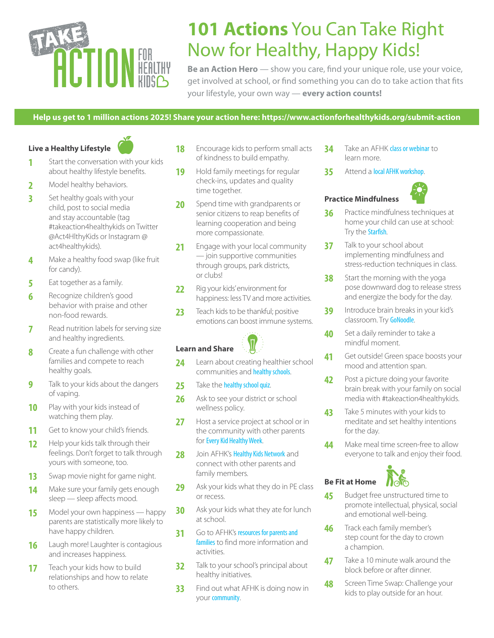# **ACTION FOR**

# **101 Actions** You Can Take Right Now for Healthy, Happy Kids!

**Be an Action Hero** — show you care, find your unique role, use your voice, get involved at school, or find something you can do to take action that fits your lifestyle, your own way — **every action counts!**

#### **Help us get to 1 million actions 2025! Share your action here: <https://www.actionforhealthykids.org/submit-action>**

**Live a Healthy Lifestyle**

- **1** Start the conversation with your kids about healthy lifestyle benefits.
- **2** Model healthy behaviors.
- **3** Set healthy goals with your child, post to social media and stay accountable (tag #takeaction4healthykids on Twitter @Act4HlthyKids or Instagram @ act4healthykids).
- **4** Make a healthy food swap (like fruit for candy).
- **5** Eat together as a family.
- **6** Recognize children's good behavior with praise and other non-food rewards.
- **7** Read nutrition labels for serving size and healthy ingredients.
- **8** Create a fun challenge with other families and compete to reach healthy goals.
- **9** Talk to your kids about the dangers of vaping.
- **10** Play with your kids instead of watching them play.
- 11 Get to know your child's friends.
- 12 Help your kids talk through their feelings. Don't forget to talk through yours with someone, too.
- **13** Swap movie night for game night.
- **14** Make sure your family gets enough sleep — sleep affects mood.
- **15** Model your own happiness happy parents are statistically more likely to have happy children.
- **16** Laugh more! Laughter is contagious and increases happiness.
- **17** Teach your kids how to build relationships and how to relate to others.
- **18** Encourage kids to perform small acts of kindness to build empathy.
- **19** Hold family meetings for regular check-ins, updates and quality time together.
- 20 Spend time with grandparents or senior citizens to reap benefits of learning cooperation and being more compassionate.
- 21 Engage with your local community — join supportive communities through groups, park districts, or clubs!
- 22 Rig your kids' environment for happiness: less TV and more activities.
- 23 Teach kids to be thankful; positive emotions can boost immune systems.



#### **Learn and Share**

- 24 Learn about creating healthier school communities and [healthy schools](https://www.actionforhealthykids.org/blog/).
- 25 Take the [healthy school quiz](https://www.actionforhealthykids.org/parents-for-healthy-kids/pop-quiz-for-parents/).
- 26 Ask to see your district or school wellness policy.
- 27 Host a service project at school or in the community with other parents for [Every Kid Healthy Week](https://www.actionforhealthykids.org/get-involved/every-kid-healthy-week/).
- **28** Join AFHK's [Healthy Kids Network](https://network.actionforhealthykids.org/) and connect with other parents and family members.
- 29 Ask your kids what they do in PE class or recess.
- **30** Ask your kids what they ate for lunch at school.
- **31** Go to AFHK's resources for parents and [families](http://resources for parents and families) to find more information and activities.
- **32** Talk to your school's principal about healthy initiatives.
- **33** Find out what AFHK is doing now in your [community](https://www.actionforhealthykids.org/in-your-state/).
- **34** Take an AFHK [class or webinar](https://www.actionforhealthykids.org/events/) to learn more.
- **35** Attend a [local AFHK workshop](https://www.actionforhealthykids.org/events/).



# **Practice Mindfulness**

- **36** Practice mindfulness techniques at home your child can use at school: Try the [Starfish](https://www.youtube.com/watch?v=JV6e4wCO4MQ).
- **37** Talk to your school about implementing mindfulness and stress-reduction techniques in class.
- **38** Start the morning with the yoga pose downward dog to release stress and energize the body for the day.
- **39** Introduce brain breaks in your kid's classroom. Try [GoNoodle](https://www.gonoodle.com/).
- **40** Set a daily reminder to take a mindful moment.
- **41** Get outside! Green space boosts your mood and attention span.
- **42** Post a picture doing your favorite brain break with your family on social media with #takeaction4healthykids.
- **43** Take 5 minutes with your kids to meditate and set healthy intentions for the day.
- **44** Make meal time screen-free to allow everyone to talk and enjoy their food.



- **45** Budget free unstructured time to promote intellectual, physical, social and emotional well-being.
- **46** Track each family member's step count for the day to crown a champion.
- **47** Take a 10 minute walk around the block before or after dinner.
- **48** Screen Time Swap: Challenge your kids to play outside for an hour.